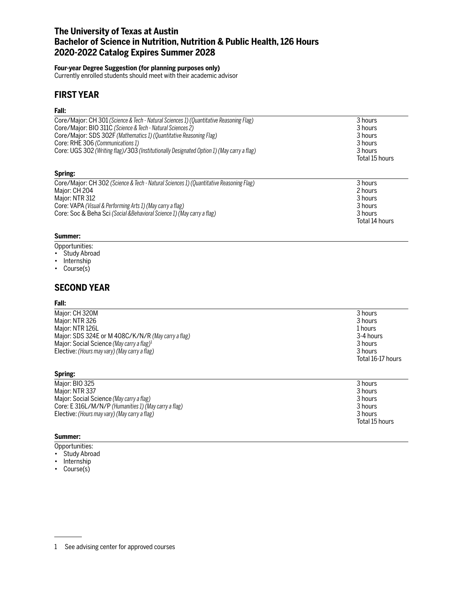# **The University of Texas at Austin Bachelor of Science in Nutrition, Nutrition & Public Health, 126 Hours 2020-2022 Catalog Expires Summer 2028**

### **Four-year Degree Suggestion (for planning purposes only)**

Currently enrolled students should meet with their academic advisor

# **FIRST YEAR**

## **Fall:**

| Core/Major: CH 301 (Science & Tech - Natural Sciences 1) (Quantitative Reasoning Flag)    | 3 hours        |
|-------------------------------------------------------------------------------------------|----------------|
| Core/Major: BIO 311C (Science & Tech - Natural Sciences 2)                                | 3 hours        |
| Core/Major: SDS 302F (Mathematics 1) (Quantitative Reasoning Flag)                        | 3 hours        |
| Core: RHE 306 (Communications 1)                                                          | 3 hours        |
| Core: UGS 302 (Writing flag)/303 (Institutionally Designated Option 1) (May carry a flag) | 3 hours        |
|                                                                                           | Total 15 hours |
| Spring:                                                                                   |                |
| Core/Major: CH 302 (Science & Tech - Natural Sciences 1) (Quantitative Reasoning Flag)    | 3 hours        |
| Major: CH 204                                                                             | 2 hours        |
| Major: NTR 312                                                                            | 3 hours        |
| Core: VAPA (Visual & Performing Arts 1) (May carry a flag)                                | 3 hours        |
| Core: Soc & Beha Sci (Social & Behavioral Science 1) (May carry a flag)                   | 3 hours        |
|                                                                                           | Total 14 hours |

## **Summer:**

- Opportunities:
- Study Abroad
- Internship
- Course(s)

# **SECOND YEAR**

### **Fall:**

| 3 hours           |
|-------------------|
| 3 hours           |
| 1 hours           |
| 3-4 hours         |
| 3 hours           |
| 3 hours           |
| Total 16-17 hours |
|                   |

| Spring:                                              |                |
|------------------------------------------------------|----------------|
| Major: BIO 325                                       | 3 hours        |
| Major: NTR 337                                       | 3 hours        |
| Major: Social Science (May carry a flag)             | 3 hours        |
| Core: E 316L/M/N/P (Humanities 1) (May carry a flag) | 3 hours        |
| Elective: (Hours may vary) (May carry a flag)        | 3 hours        |
|                                                      | Total 15 hours |

## **Summer:**

- Opportunities:
- Study Abroad
- Internship
- Course(s)

<sup>1</sup> See advising center for approved courses